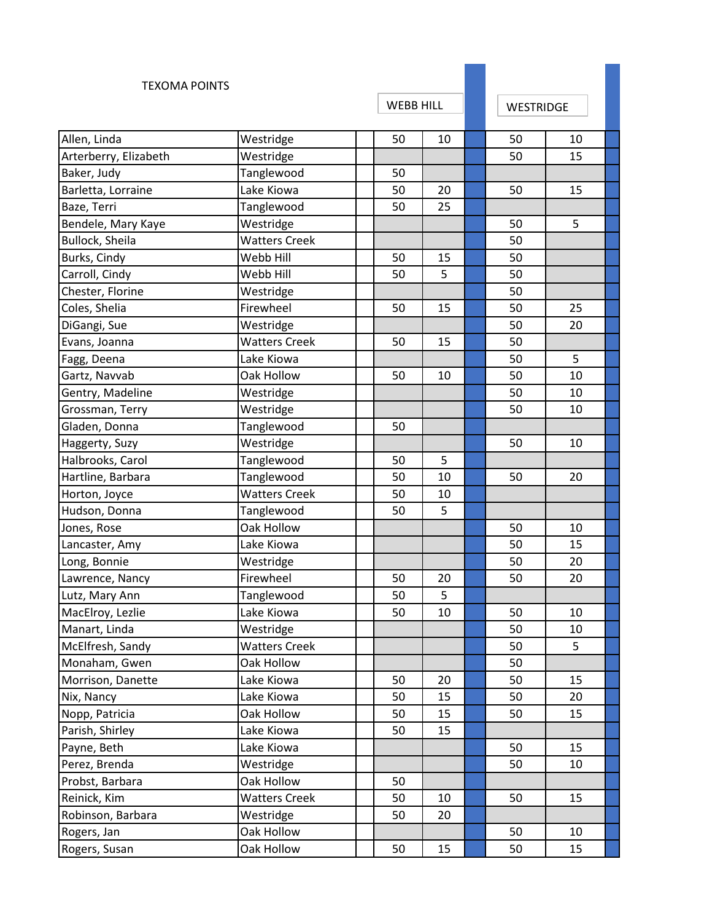| <b>TEXOMA POINTS</b>  |                      |    |                  |  |                  |    |  |
|-----------------------|----------------------|----|------------------|--|------------------|----|--|
|                       |                      |    | <b>WEBB HILL</b> |  | <b>WESTRIDGE</b> |    |  |
| Allen, Linda          | Westridge            | 50 | 10               |  | 50               | 10 |  |
| Arterberry, Elizabeth | Westridge            |    |                  |  | 50               | 15 |  |
| Baker, Judy           | Tanglewood           | 50 |                  |  |                  |    |  |
| Barletta, Lorraine    | Lake Kiowa           | 50 | 20               |  | 50               | 15 |  |
| Baze, Terri           | Tanglewood           | 50 | 25               |  |                  |    |  |
| Bendele, Mary Kaye    | Westridge            |    |                  |  | 50               | 5  |  |
| Bullock, Sheila       | <b>Watters Creek</b> |    |                  |  | 50               |    |  |
| Burks, Cindy          | Webb Hill            | 50 | 15               |  | 50               |    |  |
| Carroll, Cindy        | Webb Hill            | 50 | 5                |  | 50               |    |  |
| Chester, Florine      | Westridge            |    |                  |  | 50               |    |  |
| Coles, Shelia         | Firewheel            | 50 | 15               |  | 50               | 25 |  |
| DiGangi, Sue          | Westridge            |    |                  |  | 50               | 20 |  |
| Evans, Joanna         | <b>Watters Creek</b> | 50 | 15               |  | 50               |    |  |
| Fagg, Deena           | Lake Kiowa           |    |                  |  | 50               | 5  |  |
| Gartz, Navvab         | Oak Hollow           | 50 | 10               |  | 50               | 10 |  |
| Gentry, Madeline      | Westridge            |    |                  |  | 50               | 10 |  |
| Grossman, Terry       | Westridge            |    |                  |  | 50               | 10 |  |
| Gladen, Donna         | Tanglewood           | 50 |                  |  |                  |    |  |
| Haggerty, Suzy        | Westridge            |    |                  |  | 50               | 10 |  |
| Halbrooks, Carol      | Tanglewood           | 50 | 5                |  |                  |    |  |
| Hartline, Barbara     | Tanglewood           | 50 | 10               |  | 50               | 20 |  |
| Horton, Joyce         | <b>Watters Creek</b> | 50 | 10               |  |                  |    |  |
| Hudson, Donna         | Tanglewood           | 50 | 5                |  |                  |    |  |
| Jones, Rose           | Oak Hollow           |    |                  |  | 50               | 10 |  |
| Lancaster, Amy        | Lake Kiowa           |    |                  |  | 50               | 15 |  |
| Long, Bonnie          | Westridge            |    |                  |  | 50               | 20 |  |
| Lawrence, Nancy       | Firewheel            | 50 | 20               |  | 50               | 20 |  |
| Lutz, Mary Ann        | Tanglewood           | 50 | 5                |  |                  |    |  |
| MacElroy, Lezlie      | Lake Kiowa           | 50 | 10               |  | 50               | 10 |  |
| Manart, Linda         | Westridge            |    |                  |  | 50               | 10 |  |
| McElfresh, Sandy      | <b>Watters Creek</b> |    |                  |  | 50               | 5  |  |
| Monaham, Gwen         | Oak Hollow           |    |                  |  | 50               |    |  |
| Morrison, Danette     | Lake Kiowa           | 50 | 20               |  | 50               | 15 |  |
| Nix, Nancy            | Lake Kiowa           | 50 | 15               |  | 50               | 20 |  |
| Nopp, Patricia        | Oak Hollow           | 50 | 15               |  | 50               | 15 |  |
| Parish, Shirley       | Lake Kiowa           | 50 | 15               |  |                  |    |  |
| Payne, Beth           | Lake Kiowa           |    |                  |  | 50               | 15 |  |
| Perez, Brenda         | Westridge            |    |                  |  | 50               | 10 |  |
| Probst, Barbara       | Oak Hollow           | 50 |                  |  |                  |    |  |
| Reinick, Kim          | <b>Watters Creek</b> | 50 | 10               |  | 50               | 15 |  |
| Robinson, Barbara     | Westridge            | 50 | 20               |  |                  |    |  |
| Rogers, Jan           | Oak Hollow           |    |                  |  | 50               | 10 |  |
| Rogers, Susan         | Oak Hollow           | 50 | 15               |  | 50               | 15 |  |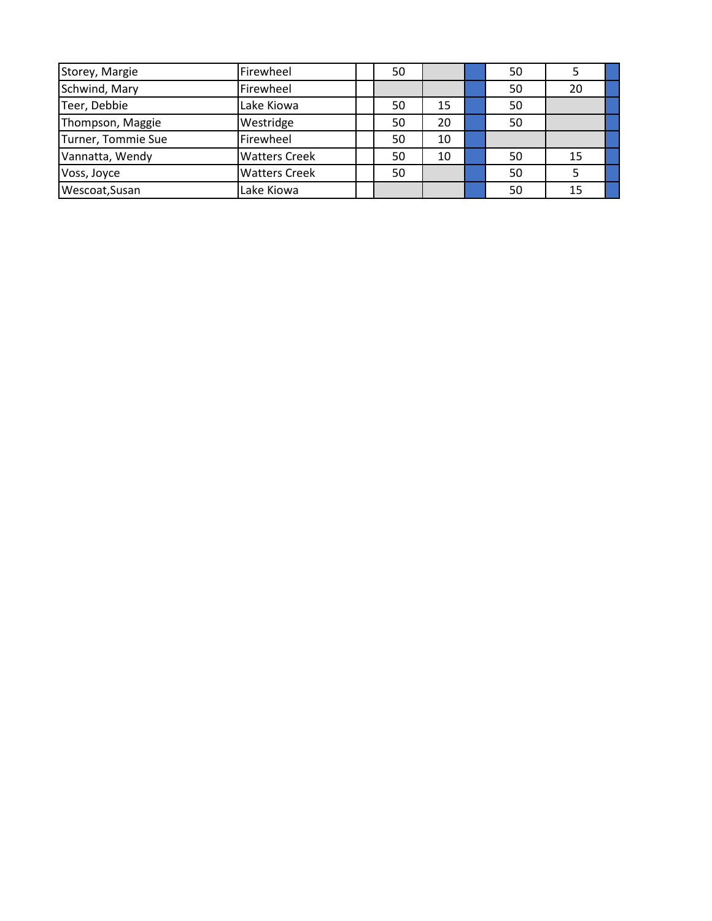| Storey, Margie     | Firewheel            | 50 |    | 50 |    |  |
|--------------------|----------------------|----|----|----|----|--|
| Schwind, Mary      | Firewheel            |    |    | 50 | 20 |  |
| Teer, Debbie       | Lake Kiowa           | 50 | 15 | 50 |    |  |
| Thompson, Maggie   | Westridge            | 50 | 20 | 50 |    |  |
| Turner, Tommie Sue | Firewheel            | 50 | 10 |    |    |  |
| Vannatta, Wendy    | <b>Watters Creek</b> | 50 | 10 | 50 | 15 |  |
| Voss, Joyce        | <b>Watters Creek</b> | 50 |    | 50 |    |  |
| Wescoat, Susan     | Lake Kiowa           |    |    | 50 | 15 |  |